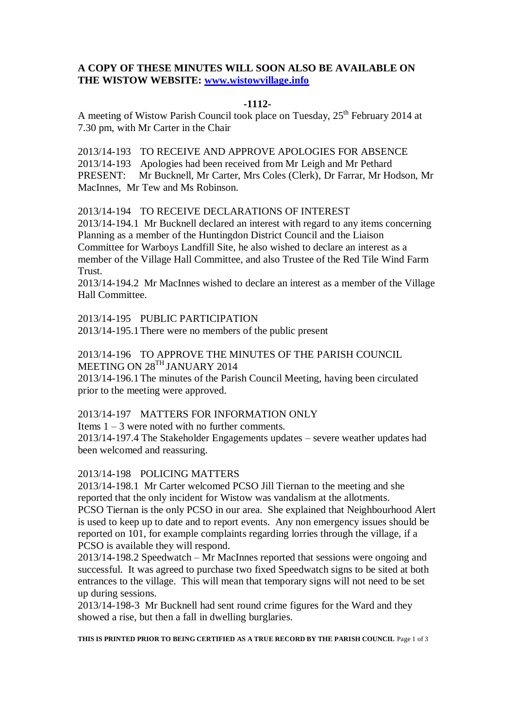# **A COPY OF THESE MINUTES WILL SOON ALSO BE AVAILABLE ON THE WISTOW WEBSITE: [www.wistowvillage.info](http://www.wistowvillage.info/)**

### **-1112-**

A meeting of Wistow Parish Council took place on Tuesday, 25<sup>th</sup> February 2014 at 7.30 pm, with Mr Carter in the Chair

2013/14-193 TO RECEIVE AND APPROVE APOLOGIES FOR ABSENCE 2013/14-193 Apologies had been received from Mr Leigh and Mr Pethard PRESENT: Mr Bucknell, Mr Carter, Mrs Coles (Clerk), Dr Farrar, Mr Hodson, Mr MacInnes, Mr Tew and Ms Robinson.

2013/14-194 TO RECEIVE DECLARATIONS OF INTEREST

2013/14-194.1 Mr Bucknell declared an interest with regard to any items concerning Planning as a member of the Huntingdon District Council and the Liaison Committee for Warboys Landfill Site, he also wished to declare an interest as a member of the Village Hall Committee, and also Trustee of the Red Tile Wind Farm Trust.

2013/14-194.2 Mr MacInnes wished to declare an interest as a member of the Village Hall Committee.

2013/14-195 PUBLIC PARTICIPATION 2013/14-195.1There were no members of the public present

2013/14-196 TO APPROVE THE MINUTES OF THE PARISH COUNCIL MEETING ON 28<sup>TH</sup> JANUARY 2014

2013/14-196.1The minutes of the Parish Council Meeting, having been circulated prior to the meeting were approved.

2013/14-197 MATTERS FOR INFORMATION ONLY

Items  $1 - 3$  were noted with no further comments.

2013/14-197.4 The Stakeholder Engagements updates – severe weather updates had been welcomed and reassuring.

2013/14-198 POLICING MATTERS

2013/14-198.1 Mr Carter welcomed PCSO Jill Tiernan to the meeting and she reported that the only incident for Wistow was vandalism at the allotments. PCSO Tiernan is the only PCSO in our area. She explained that Neighbourhood Alert

is used to keep up to date and to report events. Any non emergency issues should be reported on 101, for example complaints regarding lorries through the village, if a PCSO is available they will respond.

2013/14-198.2 Speedwatch – Mr MacInnes reported that sessions were ongoing and successful. It was agreed to purchase two fixed Speedwatch signs to be sited at both entrances to the village. This will mean that temporary signs will not need to be set up during sessions.

2013/14-198-3 Mr Bucknell had sent round crime figures for the Ward and they showed a rise, but then a fall in dwelling burglaries.

**THIS IS PRINTED PRIOR TO BEING CERTIFIED AS A TRUE RECORD BY THE PARISH COUNCIL** Page 1 of 3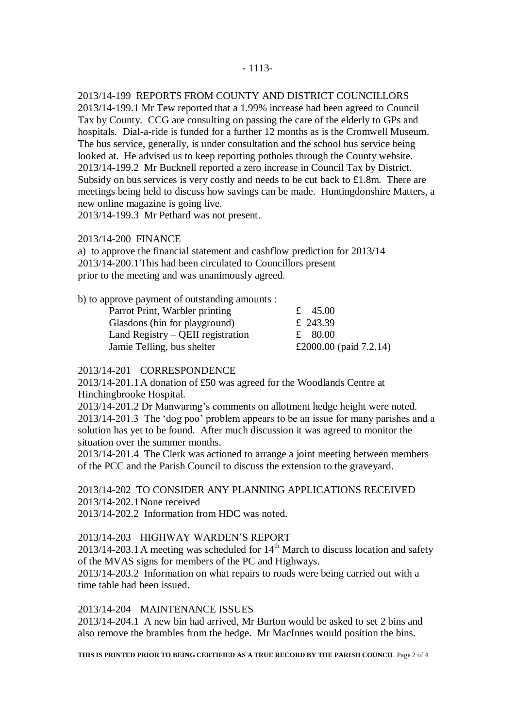2013/14-199 REPORTS FROM COUNTY AND DISTRICT COUNCILLORS 2013/14-199.1 Mr Tew reported that a 1.99% increase had been agreed to Council Tax by County. CCG are consulting on passing the care of the elderly to GPs and hospitals. Dial-a-ride is funded for a further 12 months as is the Cromwell Museum. The bus service, generally, is under consultation and the school bus service being looked at. He advised us to keep reporting potholes through the County website. 2013/14-199.2 Mr Bucknell reported a zero increase in Council Tax by District. Subsidy on bus services is very costly and needs to be cut back to £1.8m. There are meetings being held to discuss how savings can be made. Huntingdonshire Matters, a new online magazine is going live.

2013/14-199.3 Mr Pethard was not present.

### 2013/14-200 FINANCE

a) to approve the financial statement and cashflow prediction for 2013/14 2013/14-200.1This had been circulated to Councillors present prior to the meeting and was unanimously agreed.

b) to approve payment of outstanding amounts :

| Parrot Print, Warbler printing      |  | £ 45.00                   |
|-------------------------------------|--|---------------------------|
| Glasdons (bin for playground)       |  | £ 243.39                  |
| Land Registry $-$ QEII registration |  | £ $80.00$                 |
| Jamie Telling, bus shelter          |  | £2000.00 (paid $7.2.14$ ) |
|                                     |  |                           |

## 2013/14-201 CORRESPONDENCE

2013/14-201.1A donation of £50 was agreed for the Woodlands Centre at Hinchingbrooke Hospital.

2013/14-201.2 Dr Manwaring's comments on allotment hedge height were noted. 2013/14-201.3 The 'dog poo' problem appears to be an issue for many parishes and a solution has yet to be found. After much discussion it was agreed to monitor the situation over the summer months.

2013/14-201.4 The Clerk was actioned to arrange a joint meeting between members of the PCC and the Parish Council to discuss the extension to the graveyard.

## 2013/14-202 TO CONSIDER ANY PLANNING APPLICATIONS RECEIVED 2013/14-202.1None received

2013/14-202.2 Information from HDC was noted.

## 2013/14-203 HIGHWAY WARDEN'S REPORT

 $2013/14$ -203.1 A meeting was scheduled for  $14<sup>th</sup>$  March to discuss location and safety of the MVAS signs for members of the PC and Highways.

2013/14-203.2 Information on what repairs to roads were being carried out with a time table had been issued.

#### 2013/14-204 MAINTENANCE ISSUES

2013/14-204.1 A new bin had arrived, Mr Burton would be asked to set 2 bins and also remove the brambles from the hedge. Mr MacInnes would position the bins.

**THIS IS PRINTED PRIOR TO BEING CERTIFIED AS A TRUE RECORD BY THE PARISH COUNCIL** Page 2 of 4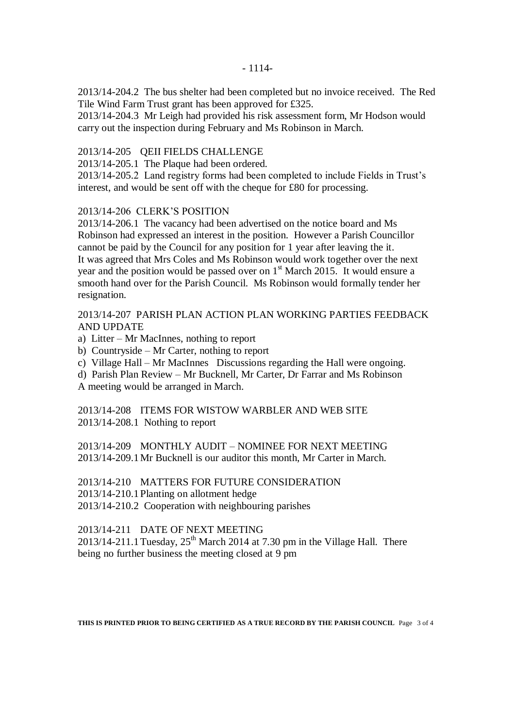2013/14-204.2 The bus shelter had been completed but no invoice received. The Red Tile Wind Farm Trust grant has been approved for £325.

2013/14-204.3 Mr Leigh had provided his risk assessment form, Mr Hodson would carry out the inspection during February and Ms Robinson in March.

#### 2013/14-205 QEII FIELDS CHALLENGE

2013/14-205.1 The Plaque had been ordered.

2013/14-205.2 Land registry forms had been completed to include Fields in Trust's interest, and would be sent off with the cheque for £80 for processing.

### 2013/14-206 CLERK'S POSITION

2013/14-206.1 The vacancy had been advertised on the notice board and Ms Robinson had expressed an interest in the position. However a Parish Councillor cannot be paid by the Council for any position for 1 year after leaving the it. It was agreed that Mrs Coles and Ms Robinson would work together over the next year and the position would be passed over on  $1<sup>st</sup>$  March 2015. It would ensure a smooth hand over for the Parish Council. Ms Robinson would formally tender her resignation.

### 2013/14-207 PARISH PLAN ACTION PLAN WORKING PARTIES FEEDBACK AND UPDATE

- a) Litter Mr MacInnes, nothing to report
- b) Countryside Mr Carter, nothing to report
- c) Village Hall Mr MacInnes Discussions regarding the Hall were ongoing.
- d) Parish Plan Review Mr Bucknell, Mr Carter, Dr Farrar and Ms Robinson A meeting would be arranged in March.

2013/14-208 ITEMS FOR WISTOW WARBLER AND WEB SITE 2013/14-208.1 Nothing to report

2013/14-209 MONTHLY AUDIT – NOMINEE FOR NEXT MEETING 2013/14-209.1Mr Bucknell is our auditor this month, Mr Carter in March.

2013/14-210 MATTERS FOR FUTURE CONSIDERATION 2013/14-210.1Planting on allotment hedge 2013/14-210.2 Cooperation with neighbouring parishes

2013/14-211 DATE OF NEXT MEETING

 $2013/14-211.1$  Tuesday,  $25<sup>th</sup>$  March 2014 at 7.30 pm in the Village Hall. There being no further business the meeting closed at 9 pm

**THIS IS PRINTED PRIOR TO BEING CERTIFIED AS A TRUE RECORD BY THE PARISH COUNCIL** Page 3 of 4